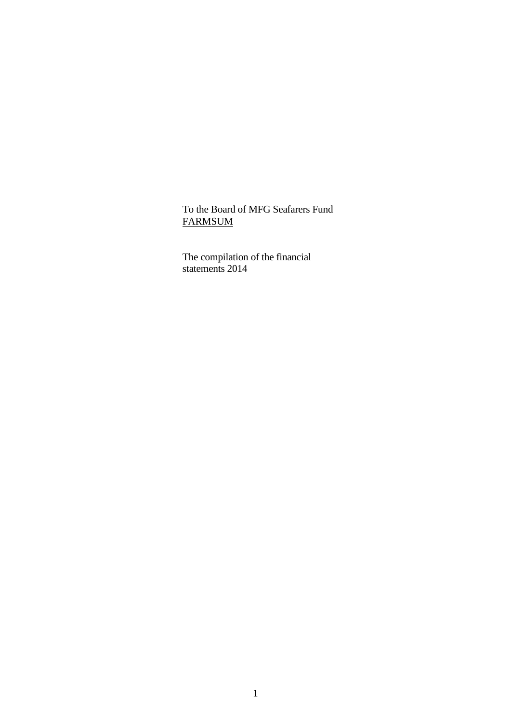### To the Board of MFG Seafarers Fund FARMSUM

 The compilation of the financial statements 2014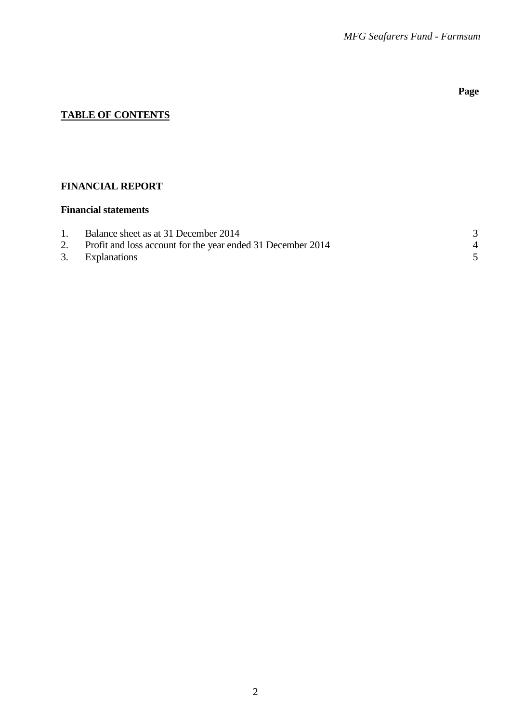# **Page**

# **TABLE OF CONTENTS**

### **FINANCIAL REPORT**

### **Financial statements**

| $1_{\cdot}$ | Balance sheet as at 31 December 2014                           |  |
|-------------|----------------------------------------------------------------|--|
|             | 2. Profit and loss account for the year ended 31 December 2014 |  |
|             | 3. Explanations                                                |  |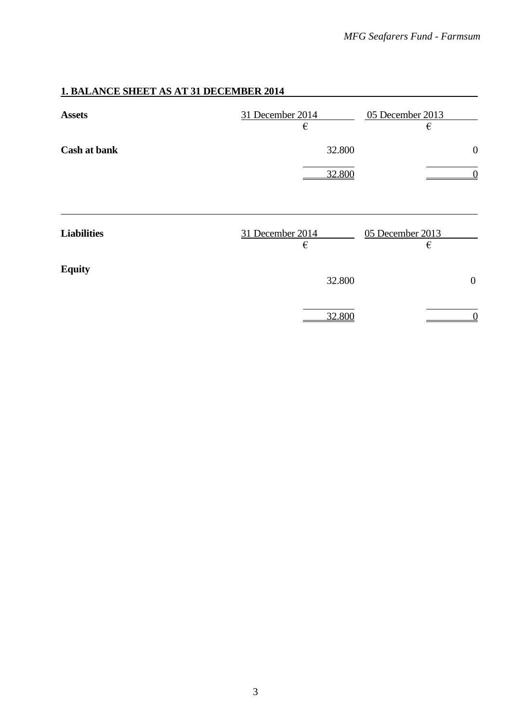# **1. BALANCE SHEET AS AT 31 DECEMBER 2014**

| <b>Assets</b>       | 31 December 2014<br>€ | 05 December 2013<br>€                |
|---------------------|-----------------------|--------------------------------------|
| <b>Cash at bank</b> | 32.800<br>32.800      | $\boldsymbol{0}$<br>$\boldsymbol{0}$ |
| <b>Liabilities</b>  | 31 December 2014      | 05 December 2013                     |
| <b>Equity</b>       | €<br>32.800           | €<br>$\overline{0}$                  |
|                     | 32.800                | $\theta$                             |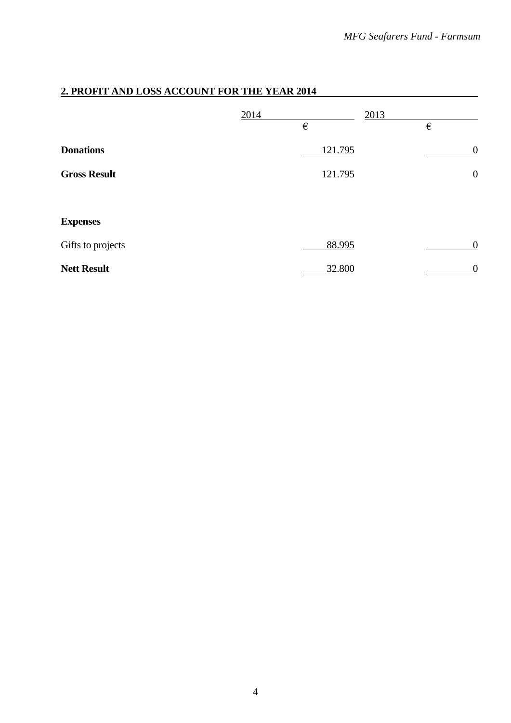# **2. PROFIT AND LOSS ACCOUNT FOR THE YEAR 2014**

|                     | 2014 | $\in$   | 2013 | €                |
|---------------------|------|---------|------|------------------|
| <b>Donations</b>    |      | 121.795 |      | $\boldsymbol{0}$ |
| <b>Gross Result</b> |      | 121.795 |      | $\boldsymbol{0}$ |
|                     |      |         |      |                  |
| <b>Expenses</b>     |      |         |      |                  |
| Gifts to projects   |      | 88.995  |      | $\boldsymbol{0}$ |
| <b>Nett Result</b>  |      | 32.800  |      | $\overline{0}$   |